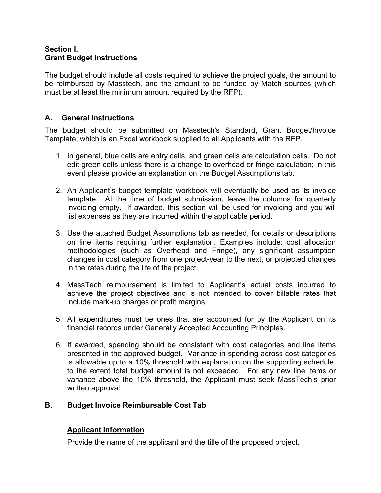### **Section I. Grant Budget Instructions**

The budget should include all costs required to achieve the project goals, the amount to be reimbursed by Masstech, and the amount to be funded by Match sources (which must be at least the minimum amount required by the RFP).

# **A. General Instructions**

The budget should be submitted on Masstech's Standard, Grant Budget/Invoice Template, which is an Excel workbook supplied to all Applicants with the RFP.

- 1. In general, blue cells are entry cells, and green cells are calculation cells. Do not edit green cells unless there is a change to overhead or fringe calculation; in this event please provide an explanation on the Budget Assumptions tab.
- 2. An Applicant's budget template workbook will eventually be used as its invoice template. At the time of budget submission, leave the columns for quarterly invoicing empty. If awarded, this section will be used for invoicing and you will list expenses as they are incurred within the applicable period.
- 3. Use the attached Budget Assumptions tab as needed, for details or descriptions on line items requiring further explanation. Examples include: cost allocation methodologies (such as Overhead and Fringe), any significant assumption changes in cost category from one project-year to the next, or projected changes in the rates during the life of the project.
- 4. MassTech reimbursement is limited to Applicant's actual costs incurred to achieve the project objectives and is not intended to cover billable rates that include mark-up charges or profit margins.
- 5. All expenditures must be ones that are accounted for by the Applicant on its financial records under Generally Accepted Accounting Principles.
- 6. If awarded, spending should be consistent with cost categories and line items presented in the approved budget. Variance in spending across cost categories is allowable up to a 10% threshold with explanation on the supporting schedule, to the extent total budget amount is not exceeded. For any new line items or variance above the 10% threshold, the Applicant must seek MassTech's prior written approval.

## **B. Budget Invoice Reimbursable Cost Tab**

# **Applicant Information**

Provide the name of the applicant and the title of the proposed project.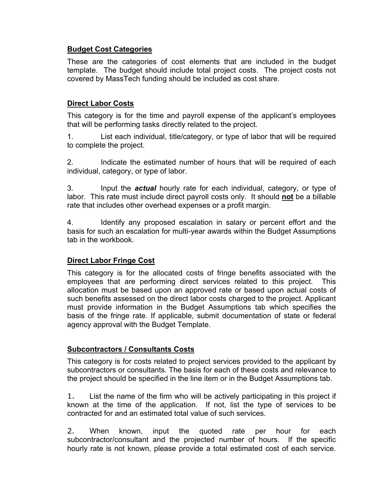## **Budget Cost Categories**

These are the categories of cost elements that are included in the budget template. The budget should include total project costs. The project costs not covered by MassTech funding should be included as cost share.

## **Direct Labor Costs**

This category is for the time and payroll expense of the applicant's employees that will be performing tasks directly related to the project.

1. List each individual, title/category, or type of labor that will be required to complete the project.

2. Indicate the estimated number of hours that will be required of each individual, category, or type of labor.

3. Input the *actual* hourly rate for each individual, category, or type of labor. This rate must include direct payroll costs only. It should **not** be a billable rate that includes other overhead expenses or a profit margin.

4. Identify any proposed escalation in salary or percent effort and the basis for such an escalation for multi-year awards within the Budget Assumptions tab in the workbook.

## **Direct Labor Fringe Cost**

This category is for the allocated costs of fringe benefits associated with the employees that are performing direct services related to this project. This allocation must be based upon an approved rate or based upon actual costs of such benefits assessed on the direct labor costs charged to the project. Applicant must provide information in the Budget Assumptions tab which specifies the basis of the fringe rate. If applicable, submit documentation of state or federal agency approval with the Budget Template.

## **Subcontractors / Consultants Costs**

This category is for costs related to project services provided to the applicant by subcontractors or consultants. The basis for each of these costs and relevance to the project should be specified in the line item or in the Budget Assumptions tab.

1. List the name of the firm who will be actively participating in this project if known at the time of the application. If not, list the type of services to be contracted for and an estimated total value of such services.

2. When known, input the quoted rate per hour for each subcontractor/consultant and the projected number of hours. If the specific hourly rate is not known, please provide a total estimated cost of each service.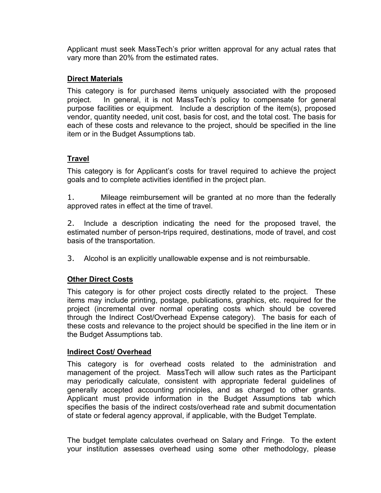Applicant must seek MassTech's prior written approval for any actual rates that vary more than 20% from the estimated rates.

### **Direct Materials**

This category is for purchased items uniquely associated with the proposed project. In general, it is not MassTech's policy to compensate for general purpose facilities or equipment. Include a description of the item(s), proposed vendor, quantity needed, unit cost, basis for cost, and the total cost. The basis for each of these costs and relevance to the project, should be specified in the line item or in the Budget Assumptions tab.

## **Travel**

This category is for Applicant's costs for travel required to achieve the project goals and to complete activities identified in the project plan.

1. Mileage reimbursement will be granted at no more than the federally approved rates in effect at the time of travel.

2. Include a description indicating the need for the proposed travel, the estimated number of person-trips required, destinations, mode of travel, and cost basis of the transportation.

3. Alcohol is an explicitly unallowable expense and is not reimbursable.

## **Other Direct Costs**

This category is for other project costs directly related to the project. These items may include printing, postage, publications, graphics, etc. required for the project (incremental over normal operating costs which should be covered through the Indirect Cost/Overhead Expense category). The basis for each of these costs and relevance to the project should be specified in the line item or in the Budget Assumptions tab.

#### **Indirect Cost/ Overhead**

This category is for overhead costs related to the administration and management of the project. MassTech will allow such rates as the Participant may periodically calculate, consistent with appropriate federal guidelines of generally accepted accounting principles, and as charged to other grants. Applicant must provide information in the Budget Assumptions tab which specifies the basis of the indirect costs/overhead rate and submit documentation of state or federal agency approval, if applicable, with the Budget Template.

The budget template calculates overhead on Salary and Fringe. To the extent your institution assesses overhead using some other methodology, please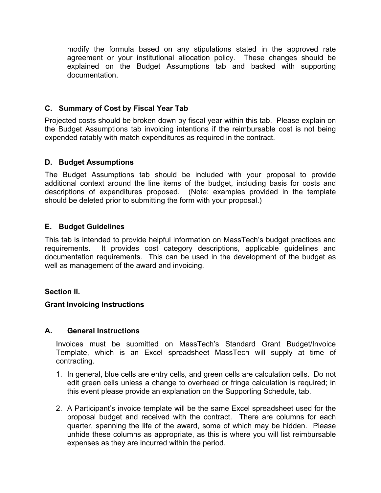modify the formula based on any stipulations stated in the approved rate agreement or your institutional allocation policy. These changes should be explained on the Budget Assumptions tab and backed with supporting documentation.

### **C. Summary of Cost by Fiscal Year Tab**

Projected costs should be broken down by fiscal year within this tab. Please explain on the Budget Assumptions tab invoicing intentions if the reimbursable cost is not being expended ratably with match expenditures as required in the contract.

#### **D. Budget Assumptions**

The Budget Assumptions tab should be included with your proposal to provide additional context around the line items of the budget, including basis for costs and descriptions of expenditures proposed. (Note: examples provided in the template should be deleted prior to submitting the form with your proposal.)

### **E. Budget Guidelines**

This tab is intended to provide helpful information on MassTech's budget practices and requirements. It provides cost category descriptions, applicable guidelines and documentation requirements. This can be used in the development of the budget as well as management of the award and invoicing.

#### **Section II.**

#### **Grant Invoicing Instructions**

#### **A. General Instructions**

Invoices must be submitted on MassTech's Standard Grant Budget/Invoice Template, which is an Excel spreadsheet MassTech will supply at time of contracting.

- 1. In general, blue cells are entry cells, and green cells are calculation cells. Do not edit green cells unless a change to overhead or fringe calculation is required; in this event please provide an explanation on the Supporting Schedule, tab.
- 2. A Participant's invoice template will be the same Excel spreadsheet used for the proposal budget and received with the contract. There are columns for each quarter, spanning the life of the award, some of which may be hidden. Please unhide these columns as appropriate, as this is where you will list reimbursable expenses as they are incurred within the period.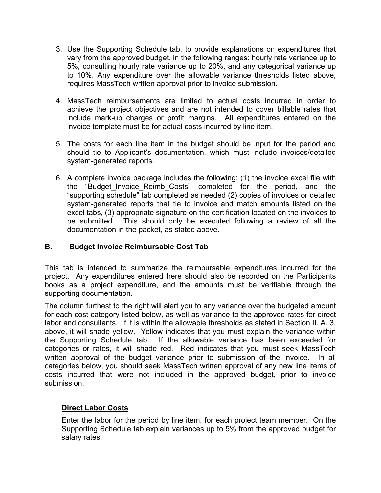- 3. Use the Supporting Schedule tab, to provide explanations on expenditures that vary from the approved budget, in the following ranges: hourly rate variance up to 5%, consulting hourly rate variance up to 20%, and any categorical variance up to 10%. Any expenditure over the allowable variance thresholds listed above, requires MassTech written approval prior to invoice submission.
- 4. MassTech reimbursements are limited to actual costs incurred in order to achieve the project objectives and are not intended to cover billable rates that include mark-up charges or profit margins. All expenditures entered on the invoice template must be for actual costs incurred by line item.
- 5. The costs for each line item in the budget should be input for the period and should tie to Applicant's documentation, which must include invoices/detailed system-generated reports.
- 6. A complete invoice package includes the following: (1) the invoice excel file with the "Budget\_Invoice\_Reimb\_Costs" completed for the period, and the "supporting schedule" tab completed as needed (2) copies of invoices or detailed system-generated reports that tie to invoice and match amounts listed on the excel tabs, (3) appropriate signature on the certification located on the invoices to be submitted. This should only be executed following a review of all the documentation in the packet, as stated above.

## **B. Budget Invoice Reimbursable Cost Tab**

This tab is intended to summarize the reimbursable expenditures incurred for the project. Any expenditures entered here should also be recorded on the Participants books as a project expenditure, and the amounts must be verifiable through the supporting documentation.

The column furthest to the right will alert you to any variance over the budgeted amount for each cost category listed below, as well as variance to the approved rates for direct labor and consultants. If it is within the allowable thresholds as stated in Section II. A. 3. above, it will shade yellow. Yellow indicates that you must explain the variance within the Supporting Schedule tab. If the allowable variance has been exceeded for categories or rates, it will shade red. Red indicates that you must seek MassTech written approval of the budget variance prior to submission of the invoice. In all categories below, you should seek MassTech written approval of any new line items of costs incurred that were not included in the approved budget, prior to invoice submission.

#### **Direct Labor Costs**

Enter the labor for the period by line item, for each project team member. On the Supporting Schedule tab explain variances up to 5% from the approved budget for salary rates.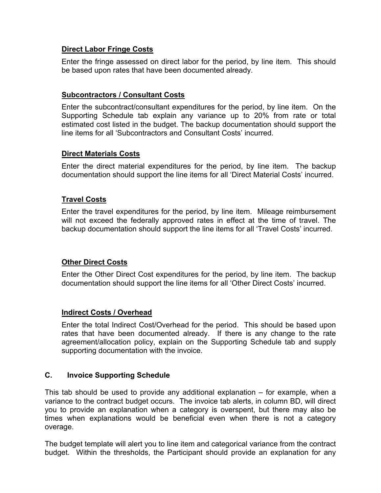### **Direct Labor Fringe Costs**

Enter the fringe assessed on direct labor for the period, by line item. This should be based upon rates that have been documented already.

## **Subcontractors / Consultant Costs**

Enter the subcontract/consultant expenditures for the period, by line item. On the Supporting Schedule tab explain any variance up to 20% from rate or total estimated cost listed in the budget. The backup documentation should support the line items for all 'Subcontractors and Consultant Costs' incurred.

### **Direct Materials Costs**

Enter the direct material expenditures for the period, by line item. The backup documentation should support the line items for all 'Direct Material Costs' incurred.

### **Travel Costs**

Enter the travel expenditures for the period, by line item. Mileage reimbursement will not exceed the federally approved rates in effect at the time of travel. The backup documentation should support the line items for all 'Travel Costs' incurred.

#### **Other Direct Costs**

Enter the Other Direct Cost expenditures for the period, by line item. The backup documentation should support the line items for all 'Other Direct Costs' incurred.

#### **Indirect Costs / Overhead**

Enter the total Indirect Cost/Overhead for the period. This should be based upon rates that have been documented already. If there is any change to the rate agreement/allocation policy, explain on the Supporting Schedule tab and supply supporting documentation with the invoice.

### **C. Invoice Supporting Schedule**

This tab should be used to provide any additional explanation – for example, when a variance to the contract budget occurs. The invoice tab alerts, in column BD, will direct you to provide an explanation when a category is overspent, but there may also be times when explanations would be beneficial even when there is not a category overage.

The budget template will alert you to line item and categorical variance from the contract budget. Within the thresholds, the Participant should provide an explanation for any